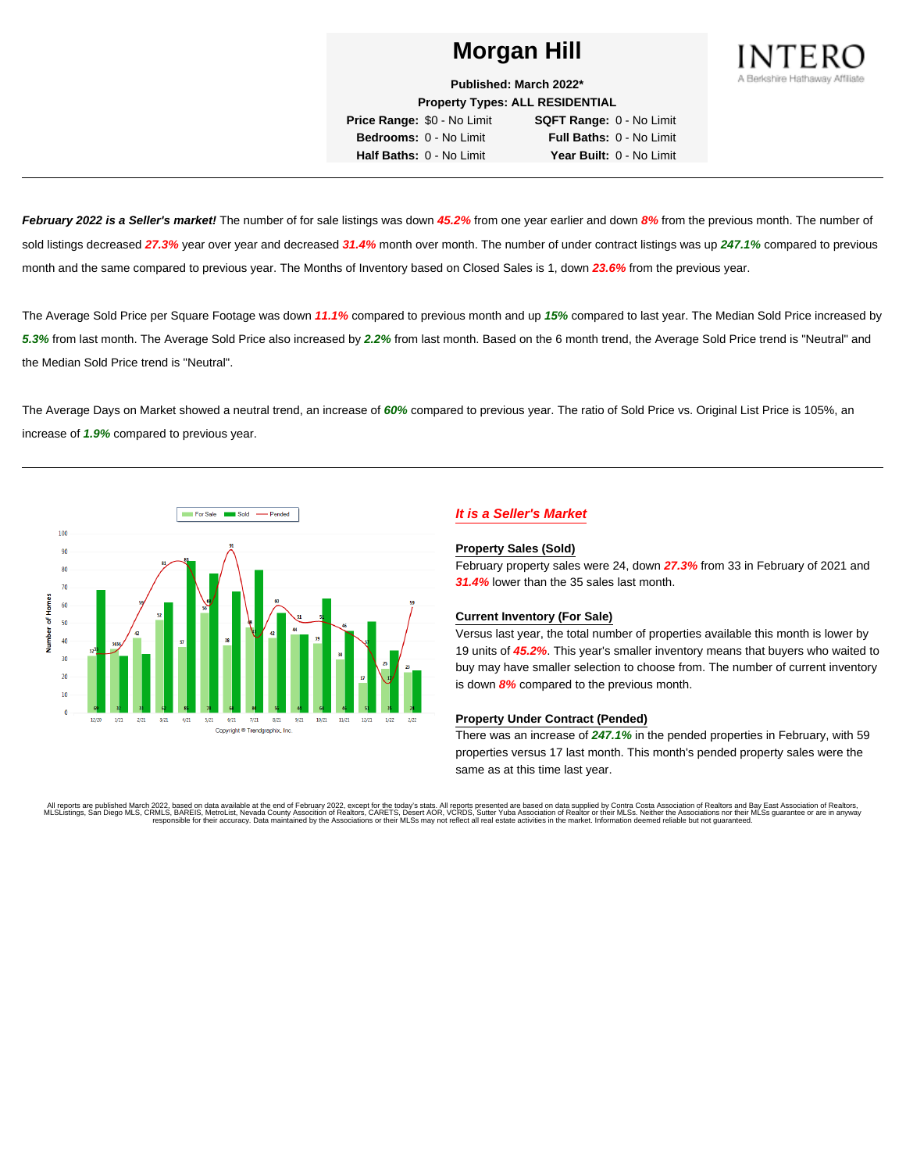

**Published: March 2022\***

**Property Types: ALL RESIDENTIAL**

**Price Range:** \$0 - No Limit **SQFT Range:** 0 - No Limit **Bedrooms:** 0 - No Limit **Full Baths:** 0 - No Limit **Half Baths:** 0 - No Limit **Year Built:** 0 - No Limit

**February 2022 is a Seller's market!** The number of for sale listings was down **45.2%** from one year earlier and down **8%** from the previous month. The number of sold listings decreased **27.3%** year over year and decreased **31.4%** month over month. The number of under contract listings was up **247.1%** compared to previous month and the same compared to previous year. The Months of Inventory based on Closed Sales is 1, down **23.6%** from the previous year.

The Average Sold Price per Square Footage was down **11.1%** compared to previous month and up **15%** compared to last year. The Median Sold Price increased by **5.3%** from last month. The Average Sold Price also increased by **2.2%** from last month. Based on the 6 month trend, the Average Sold Price trend is "Neutral" and the Median Sold Price trend is "Neutral".

The Average Days on Market showed a neutral trend, an increase of **60%** compared to previous year. The ratio of Sold Price vs. Original List Price is 105%, an increase of **1.9%** compared to previous year.



# **It is a Seller's Market**

#### **Property Sales (Sold)**

February property sales were 24, down **27.3%** from 33 in February of 2021 and **31.4%** lower than the 35 sales last month.

## **Current Inventory (For Sale)**

Versus last year, the total number of properties available this month is lower by 19 units of **45.2%**. This year's smaller inventory means that buyers who waited to buy may have smaller selection to choose from. The number of current inventory is down **8%** compared to the previous month.

## **Property Under Contract (Pended)**

There was an increase of **247.1%** in the pended properties in February, with 59 properties versus 17 last month. This month's pended property sales were the same as at this time last year.

All reports are published March 2022, based on data available at the end of February 2022, except for the today's stats. All reports presented are based on data supplied by Contra Costa Association of Realtors and Bay East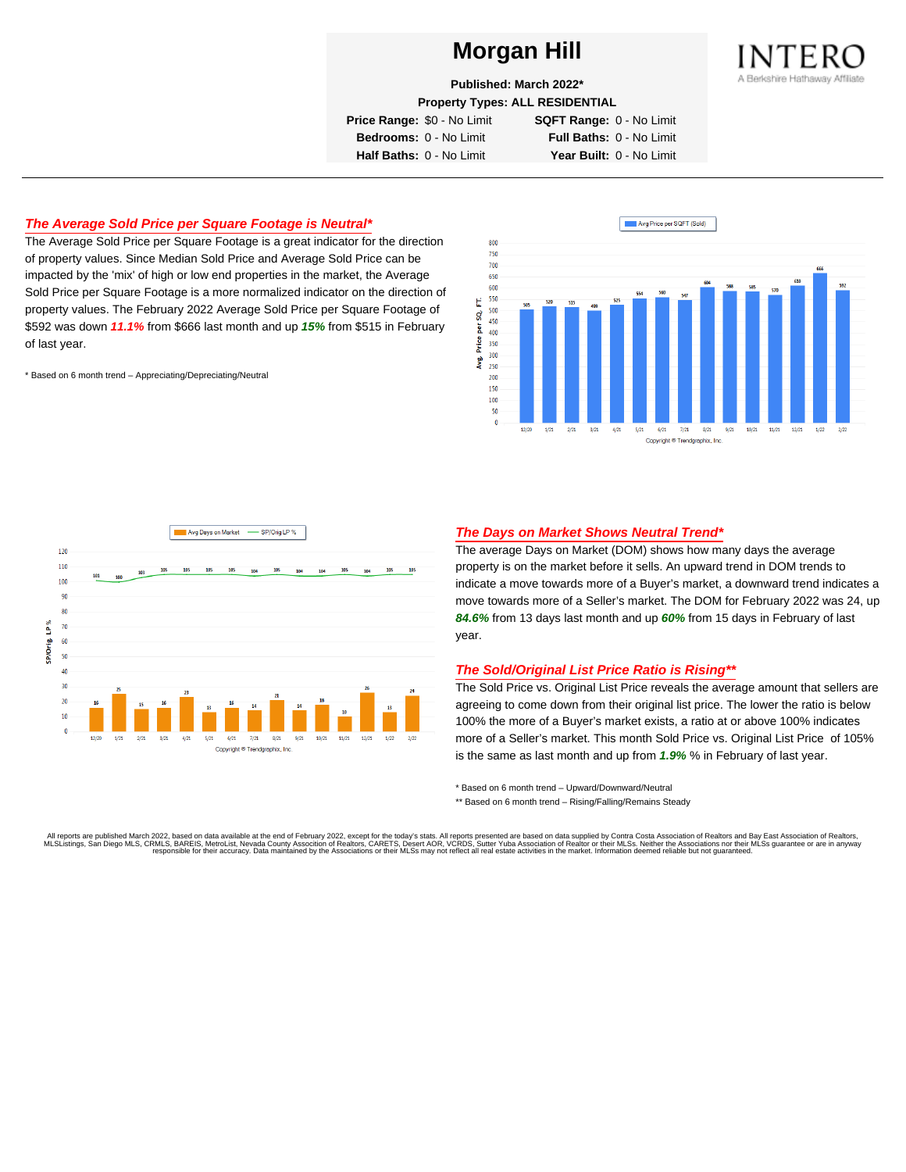

**Property Types: ALL RESIDENTIAL**

**Price Range:** \$0 - No Limit **SQFT Range:** 0 - No Limit

**Bedrooms:** 0 - No Limit **Full Baths:** 0 - No Limit **Half Baths:** 0 - No Limit **Year Built:** 0 - No Limit

# **The Average Sold Price per Square Footage is Neutral\***

The Average Sold Price per Square Footage is a great indicator for the direction of property values. Since Median Sold Price and Average Sold Price can be impacted by the 'mix' of high or low end properties in the market, the Average Sold Price per Square Footage is a more normalized indicator on the direction of property values. The February 2022 Average Sold Price per Square Footage of \$592 was down **11.1%** from \$666 last month and up **15%** from \$515 in February of last year.

\* Based on 6 month trend – Appreciating/Depreciating/Neutral





## **The Days on Market Shows Neutral Trend\***

The average Days on Market (DOM) shows how many days the average property is on the market before it sells. An upward trend in DOM trends to indicate a move towards more of a Buyer's market, a downward trend indicates a move towards more of a Seller's market. The DOM for February 2022 was 24, up **84.6%** from 13 days last month and up **60%** from 15 days in February of last year.

## **The Sold/Original List Price Ratio is Rising\*\***

The Sold Price vs. Original List Price reveals the average amount that sellers are agreeing to come down from their original list price. The lower the ratio is below 100% the more of a Buyer's market exists, a ratio at or above 100% indicates more of a Seller's market. This month Sold Price vs. Original List Price of 105% is the same as last month and up from **1.9%** % in February of last year.

\* Based on 6 month trend – Upward/Downward/Neutral

\*\* Based on 6 month trend - Rising/Falling/Remains Steady

All reports are published March 2022, based on data available at the end of February 2022, except for the today's stats. All reports presented are based on data supplied by Contra Costa Association of Realtors and Bay East

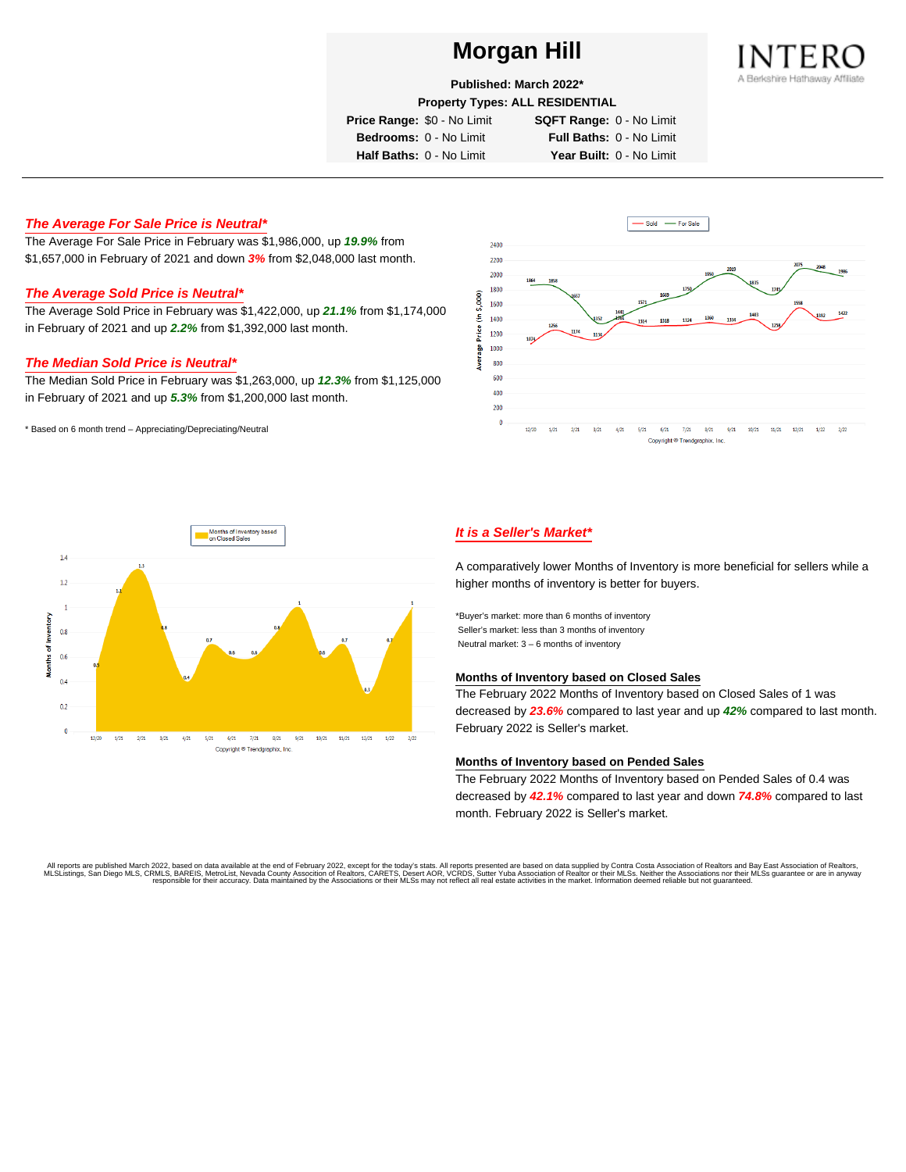

**Published: March 2022\***

**Property Types: ALL RESIDENTIAL**

**Price Range:** \$0 - No Limit **SQFT Range:** 0 - No Limit

**Bedrooms:** 0 - No Limit **Full Baths:** 0 - No Limit **Half Baths:** 0 - No Limit **Year Built:** 0 - No Limit

# **The Average For Sale Price is Neutral\***

The Average For Sale Price in February was \$1,986,000, up **19.9%** from \$1,657,000 in February of 2021 and down **3%** from \$2,048,000 last month.

# **The Average Sold Price is Neutral\***

The Average Sold Price in February was \$1,422,000, up **21.1%** from \$1,174,000 in February of 2021 and up **2.2%** from \$1,392,000 last month.

#### **The Median Sold Price is Neutral\***

The Median Sold Price in February was \$1,263,000, up **12.3%** from \$1,125,000 in February of 2021 and up **5.3%** from \$1,200,000 last month.

\* Based on 6 month trend – Appreciating/Depreciating/Neutral





# **It is a Seller's Market\***

A comparatively lower Months of Inventory is more beneficial for sellers while a higher months of inventory is better for buyers.

\*Buyer's market: more than 6 months of inventory Seller's market: less than 3 months of inventory Neutral market: 3 – 6 months of inventory

#### **Months of Inventory based on Closed Sales**

The February 2022 Months of Inventory based on Closed Sales of 1 was decreased by **23.6%** compared to last year and up **42%** compared to last month. February 2022 is Seller's market.

#### **Months of Inventory based on Pended Sales**

The February 2022 Months of Inventory based on Pended Sales of 0.4 was decreased by **42.1%** compared to last year and down **74.8%** compared to last month. February 2022 is Seller's market.

. All reports are published March 2022, based on data available at the end of February 2022, except for the today's stats. All reports presented are based on data supplied by Contra Costa Association of Realtors, San Bread responsible for their accuracy. Data maintained by the Associations or their MLSs may not reflect all real estate activities in the market. Information deemed reliable but not guaranteed.